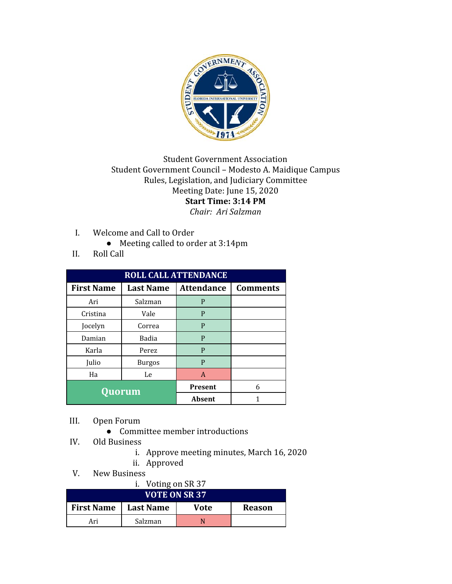

## Student Government Association Student Government Council – Modesto A. Maidique Campus Rules, Legislation, and Judiciary Committee Meeting Date: June 15, 2020 **Start Time: 3:14 PM** *Chair: Ari Salzman*

- I. Welcome and Call to Order
	- Meeting called to order at 3:14pm
- II. Roll Call

| <b>ROLL CALL ATTENDANCE</b> |                  |                   |                 |  |  |
|-----------------------------|------------------|-------------------|-----------------|--|--|
| <b>First Name</b>           | <b>Last Name</b> | <b>Attendance</b> | <b>Comments</b> |  |  |
| Ari                         | Salzman          | P                 |                 |  |  |
| Cristina                    | Vale             | P                 |                 |  |  |
| Jocelyn                     | Correa           | P                 |                 |  |  |
| Damian                      | Badia            | P                 |                 |  |  |
| Karla                       | Perez            | P                 |                 |  |  |
| Julio                       | Burgos           | P                 |                 |  |  |
| Ha                          | Le               | A                 |                 |  |  |
| Quorum                      |                  | <b>Present</b>    | 6               |  |  |
|                             |                  | Absent            |                 |  |  |

- III. Open Forum
	- Committee member introductions
- IV. Old Business
	- i. Approve meeting minutes, March 16, 2020
	- ii. Approved
- V. New Business

| i. Voting on SR 37   |                  |      |               |  |
|----------------------|------------------|------|---------------|--|
| <b>VOTE ON SR 37</b> |                  |      |               |  |
| <b>First Name</b>    | <b>Last Name</b> | Vote | <b>Reason</b> |  |
| Ari                  | Salzman          |      |               |  |